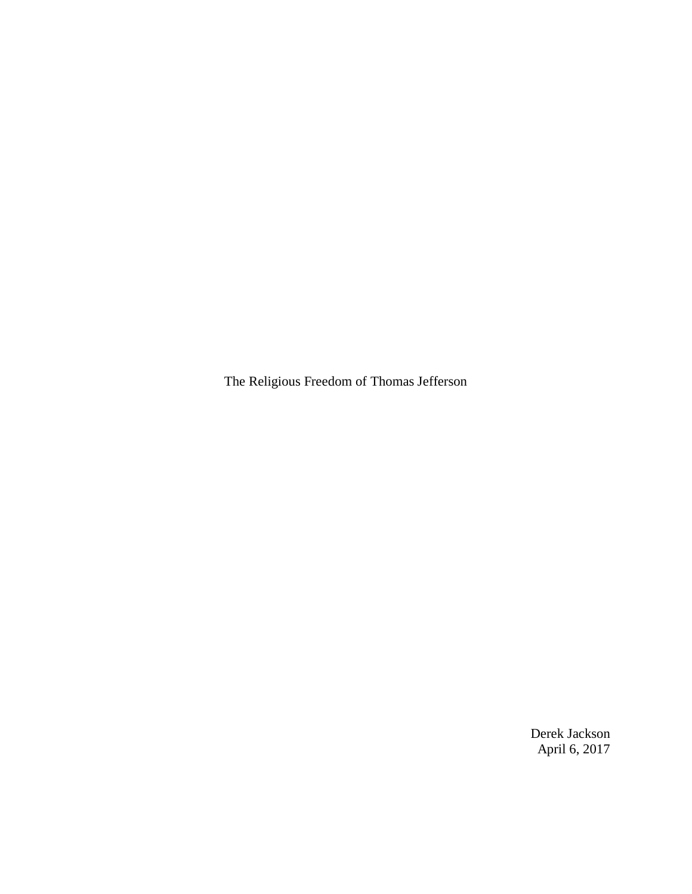The Religious Freedom of Thomas Jefferson

Derek Jackson April 6, 2017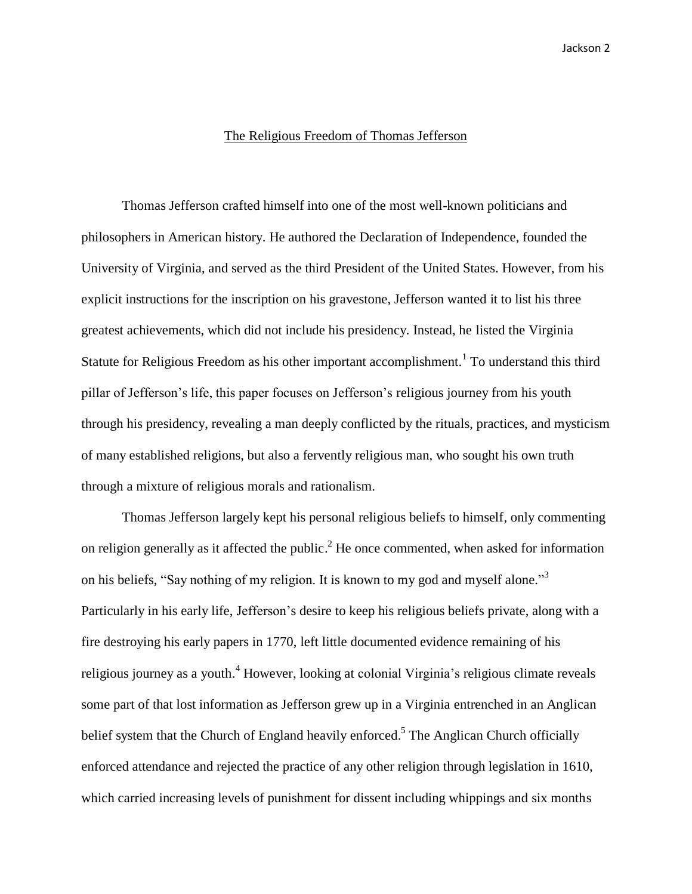## The Religious Freedom of Thomas Jefferson

Thomas Jefferson crafted himself into one of the most well-known politicians and philosophers in American history. He authored the Declaration of Independence, founded the University of Virginia, and served as the third President of the United States. However, from his explicit instructions for the inscription on his gravestone, Jefferson wanted it to list his three greatest achievements, which did not include his presidency. Instead, he listed the Virginia Statute for Religious Freedom as his other important accomplishment.<sup>1</sup> To understand this third pillar of Jefferson's life, this paper focuses on Jefferson's religious journey from his youth through his presidency, revealing a man deeply conflicted by the rituals, practices, and mysticism of many established religions, but also a fervently religious man, who sought his own truth through a mixture of religious morals and rationalism.

Thomas Jefferson largely kept his personal religious beliefs to himself, only commenting on religion generally as it affected the public.<sup>2</sup> He once commented, when asked for information on his beliefs, "Say nothing of my religion. It is known to my god and myself alone."<sup>3</sup> Particularly in his early life, Jefferson's desire to keep his religious beliefs private, along with a fire destroying his early papers in 1770, left little documented evidence remaining of his religious journey as a youth.<sup>4</sup> However, looking at colonial Virginia's religious climate reveals some part of that lost information as Jefferson grew up in a Virginia entrenched in an Anglican belief system that the Church of England heavily enforced.<sup>5</sup> The Anglican Church officially enforced attendance and rejected the practice of any other religion through legislation in 1610, which carried increasing levels of punishment for dissent including whippings and six months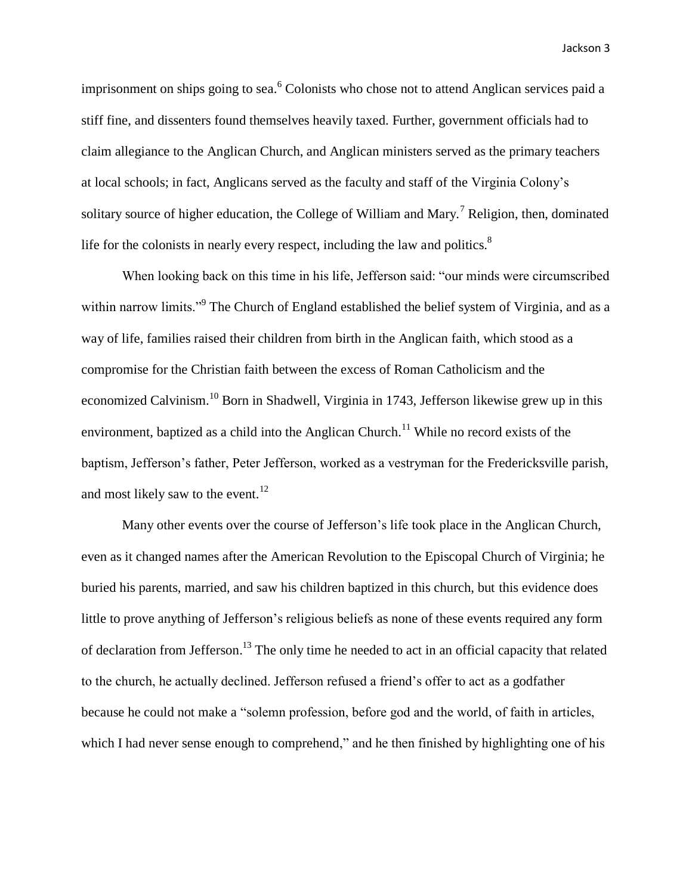imprisonment on ships going to sea. <sup>6</sup> Colonists who chose not to attend Anglican services paid a stiff fine, and dissenters found themselves heavily taxed. Further, government officials had to claim allegiance to the Anglican Church, and Anglican ministers served as the primary teachers at local schools; in fact, Anglicans served as the faculty and staff of the Virginia Colony's solitary source of higher education, the College of William and Mary.<sup>7</sup> Religion, then, dominated life for the colonists in nearly every respect, including the law and politics.<sup>8</sup>

When looking back on this time in his life, Jefferson said: "our minds were circumscribed within narrow limits."<sup>9</sup> The Church of England established the belief system of Virginia, and as a way of life, families raised their children from birth in the Anglican faith, which stood as a compromise for the Christian faith between the excess of Roman Catholicism and the economized Calvinism.<sup>10</sup> Born in Shadwell, Virginia in 1743, Jefferson likewise grew up in this environment, baptized as a child into the Anglican Church.<sup>11</sup> While no record exists of the baptism, Jefferson's father, Peter Jefferson, worked as a vestryman for the Fredericksville parish, and most likely saw to the event.<sup>12</sup>

Many other events over the course of Jefferson's life took place in the Anglican Church, even as it changed names after the American Revolution to the Episcopal Church of Virginia; he buried his parents, married, and saw his children baptized in this church, but this evidence does little to prove anything of Jefferson's religious beliefs as none of these events required any form of declaration from Jefferson.<sup>13</sup> The only time he needed to act in an official capacity that related to the church, he actually declined. Jefferson refused a friend's offer to act as a godfather because he could not make a "solemn profession, before god and the world, of faith in articles, which I had never sense enough to comprehend," and he then finished by highlighting one of his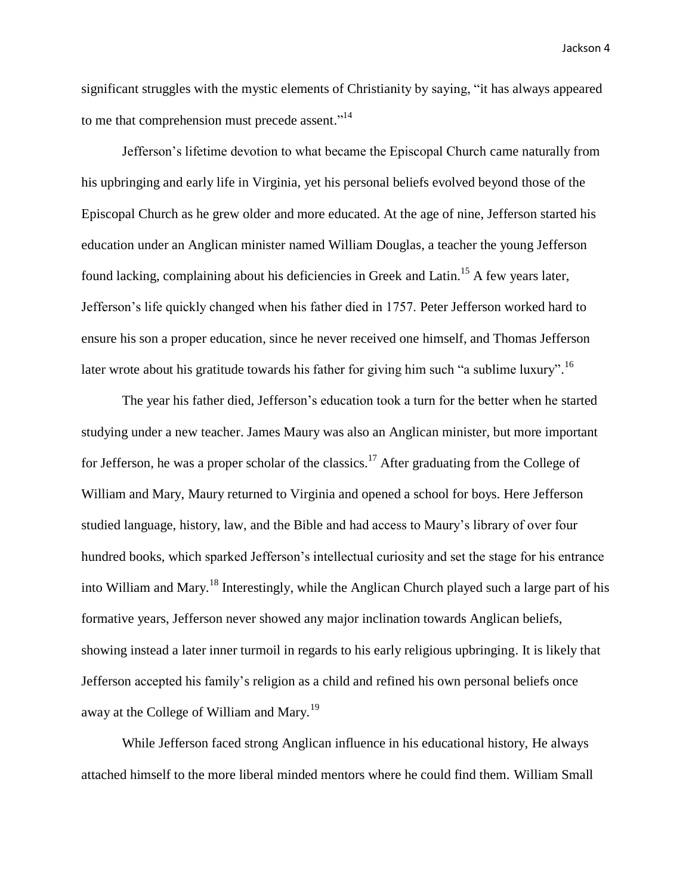significant struggles with the mystic elements of Christianity by saying, "it has always appeared to me that comprehension must precede assent."<sup>14</sup>

Jefferson's lifetime devotion to what became the Episcopal Church came naturally from his upbringing and early life in Virginia, yet his personal beliefs evolved beyond those of the Episcopal Church as he grew older and more educated. At the age of nine, Jefferson started his education under an Anglican minister named William Douglas, a teacher the young Jefferson found lacking, complaining about his deficiencies in Greek and Latin.<sup>15</sup> A few years later, Jefferson's life quickly changed when his father died in 1757. Peter Jefferson worked hard to ensure his son a proper education, since he never received one himself, and Thomas Jefferson later wrote about his gratitude towards his father for giving him such "a sublime luxury".<sup>16</sup>

The year his father died, Jefferson's education took a turn for the better when he started studying under a new teacher. James Maury was also an Anglican minister, but more important for Jefferson, he was a proper scholar of the classics.<sup>17</sup> After graduating from the College of William and Mary, Maury returned to Virginia and opened a school for boys. Here Jefferson studied language, history, law, and the Bible and had access to Maury's library of over four hundred books, which sparked Jefferson's intellectual curiosity and set the stage for his entrance into William and Mary.<sup>18</sup> Interestingly, while the Anglican Church played such a large part of his formative years, Jefferson never showed any major inclination towards Anglican beliefs, showing instead a later inner turmoil in regards to his early religious upbringing. It is likely that Jefferson accepted his family's religion as a child and refined his own personal beliefs once away at the College of William and Mary.<sup>19</sup>

While Jefferson faced strong Anglican influence in his educational history, He always attached himself to the more liberal minded mentors where he could find them. William Small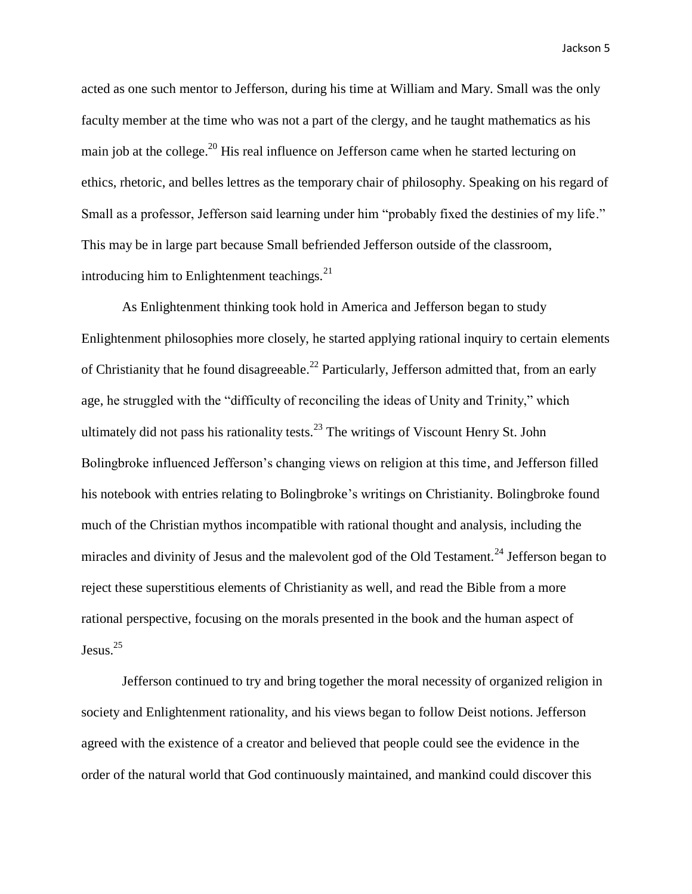acted as one such mentor to Jefferson, during his time at William and Mary. Small was the only faculty member at the time who was not a part of the clergy, and he taught mathematics as his main job at the college.<sup>20</sup> His real influence on Jefferson came when he started lecturing on ethics, rhetoric, and belles lettres as the temporary chair of philosophy. Speaking on his regard of Small as a professor, Jefferson said learning under him "probably fixed the destinies of my life." This may be in large part because Small befriended Jefferson outside of the classroom, introducing him to Enlightenment teachings. $^{21}$ 

As Enlightenment thinking took hold in America and Jefferson began to study Enlightenment philosophies more closely, he started applying rational inquiry to certain elements of Christianity that he found disagreeable.<sup>22</sup> Particularly, Jefferson admitted that, from an early age, he struggled with the "difficulty of reconciling the ideas of Unity and Trinity," which ultimately did not pass his rationality tests.<sup>23</sup> The writings of Viscount Henry St. John Bolingbroke influenced Jefferson's changing views on religion at this time, and Jefferson filled his notebook with entries relating to Bolingbroke's writings on Christianity. Bolingbroke found much of the Christian mythos incompatible with rational thought and analysis, including the miracles and divinity of Jesus and the malevolent god of the Old Testament.<sup>24</sup> Jefferson began to reject these superstitious elements of Christianity as well, and read the Bible from a more rational perspective, focusing on the morals presented in the book and the human aspect of Jesus. 25

Jefferson continued to try and bring together the moral necessity of organized religion in society and Enlightenment rationality, and his views began to follow Deist notions. Jefferson agreed with the existence of a creator and believed that people could see the evidence in the order of the natural world that God continuously maintained, and mankind could discover this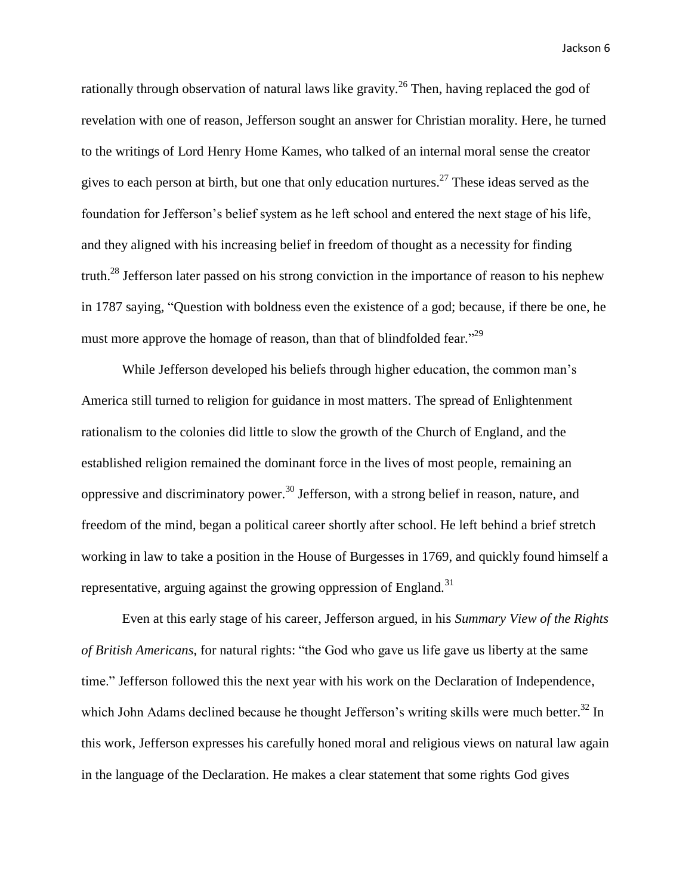rationally through observation of natural laws like gravity.<sup>26</sup> Then, having replaced the god of revelation with one of reason, Jefferson sought an answer for Christian morality. Here, he turned to the writings of Lord Henry Home Kames, who talked of an internal moral sense the creator gives to each person at birth, but one that only education nurtures.<sup>27</sup> These ideas served as the foundation for Jefferson's belief system as he left school and entered the next stage of his life, and they aligned with his increasing belief in freedom of thought as a necessity for finding truth.<sup>28</sup> Jefferson later passed on his strong conviction in the importance of reason to his nephew in 1787 saying, "Question with boldness even the existence of a god; because, if there be one, he must more approve the homage of reason, than that of blindfolded fear."<sup>29</sup>

While Jefferson developed his beliefs through higher education, the common man's America still turned to religion for guidance in most matters. The spread of Enlightenment rationalism to the colonies did little to slow the growth of the Church of England, and the established religion remained the dominant force in the lives of most people, remaining an oppressive and discriminatory power.<sup>30</sup> Jefferson, with a strong belief in reason, nature, and freedom of the mind, began a political career shortly after school. He left behind a brief stretch working in law to take a position in the House of Burgesses in 1769, and quickly found himself a representative, arguing against the growing oppression of England.<sup>31</sup>

Even at this early stage of his career, Jefferson argued, in his *Summary View of the Rights of British Americans*, for natural rights: "the God who gave us life gave us liberty at the same time." Jefferson followed this the next year with his work on the Declaration of Independence, which John Adams declined because he thought Jefferson's writing skills were much better.<sup>32</sup> In this work, Jefferson expresses his carefully honed moral and religious views on natural law again in the language of the Declaration. He makes a clear statement that some rights God gives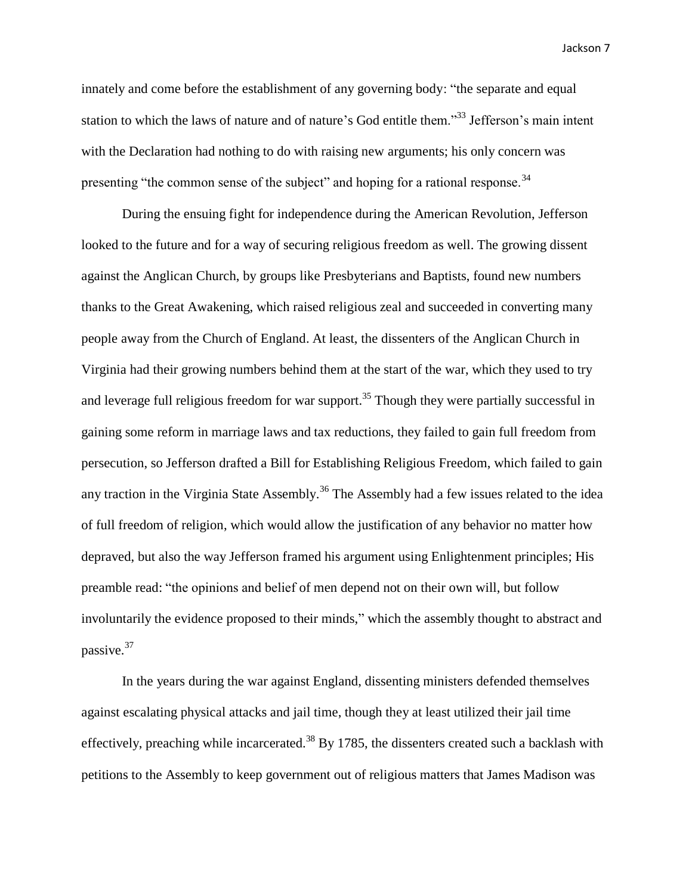innately and come before the establishment of any governing body: "the separate and equal station to which the laws of nature and of nature's God entitle them."<sup>33</sup> Jefferson's main intent with the Declaration had nothing to do with raising new arguments; his only concern was presenting "the common sense of the subject" and hoping for a rational response.<sup>34</sup>

During the ensuing fight for independence during the American Revolution, Jefferson looked to the future and for a way of securing religious freedom as well. The growing dissent against the Anglican Church, by groups like Presbyterians and Baptists, found new numbers thanks to the Great Awakening, which raised religious zeal and succeeded in converting many people away from the Church of England. At least, the dissenters of the Anglican Church in Virginia had their growing numbers behind them at the start of the war, which they used to try and leverage full religious freedom for war support.<sup>35</sup> Though they were partially successful in gaining some reform in marriage laws and tax reductions, they failed to gain full freedom from persecution, so Jefferson drafted a Bill for Establishing Religious Freedom, which failed to gain any traction in the Virginia State Assembly.<sup>36</sup> The Assembly had a few issues related to the idea of full freedom of religion, which would allow the justification of any behavior no matter how depraved, but also the way Jefferson framed his argument using Enlightenment principles; His preamble read: "the opinions and belief of men depend not on their own will, but follow involuntarily the evidence proposed to their minds," which the assembly thought to abstract and passive.<sup>37</sup>

In the years during the war against England, dissenting ministers defended themselves against escalating physical attacks and jail time, though they at least utilized their jail time effectively, preaching while incarcerated.<sup>38</sup> By 1785, the dissenters created such a backlash with petitions to the Assembly to keep government out of religious matters that James Madison was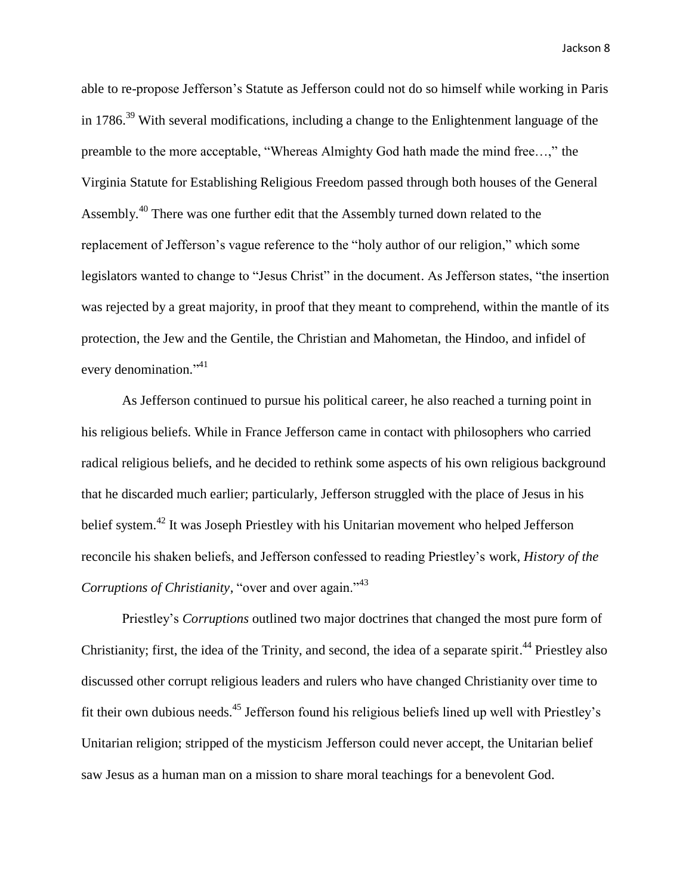able to re-propose Jefferson's Statute as Jefferson could not do so himself while working in Paris in 1786.<sup>39</sup> With several modifications, including a change to the Enlightenment language of the preamble to the more acceptable, "Whereas Almighty God hath made the mind free…," the Virginia Statute for Establishing Religious Freedom passed through both houses of the General Assembly.<sup>40</sup> There was one further edit that the Assembly turned down related to the replacement of Jefferson's vague reference to the "holy author of our religion," which some legislators wanted to change to "Jesus Christ" in the document. As Jefferson states, "the insertion was rejected by a great majority, in proof that they meant to comprehend, within the mantle of its protection, the Jew and the Gentile, the Christian and Mahometan, the Hindoo, and infidel of every denomination."<sup>41</sup>

As Jefferson continued to pursue his political career, he also reached a turning point in his religious beliefs. While in France Jefferson came in contact with philosophers who carried radical religious beliefs, and he decided to rethink some aspects of his own religious background that he discarded much earlier; particularly, Jefferson struggled with the place of Jesus in his belief system.<sup>42</sup> It was Joseph Priestley with his Unitarian movement who helped Jefferson reconcile his shaken beliefs, and Jefferson confessed to reading Priestley's work, *History of the Corruptions of Christianity*, "over and over again."<sup>43</sup>

Priestley's *Corruptions* outlined two major doctrines that changed the most pure form of Christianity; first, the idea of the Trinity, and second, the idea of a separate spirit.<sup>44</sup> Priestley also discussed other corrupt religious leaders and rulers who have changed Christianity over time to fit their own dubious needs.<sup>45</sup> Jefferson found his religious beliefs lined up well with Priestley's Unitarian religion; stripped of the mysticism Jefferson could never accept, the Unitarian belief saw Jesus as a human man on a mission to share moral teachings for a benevolent God.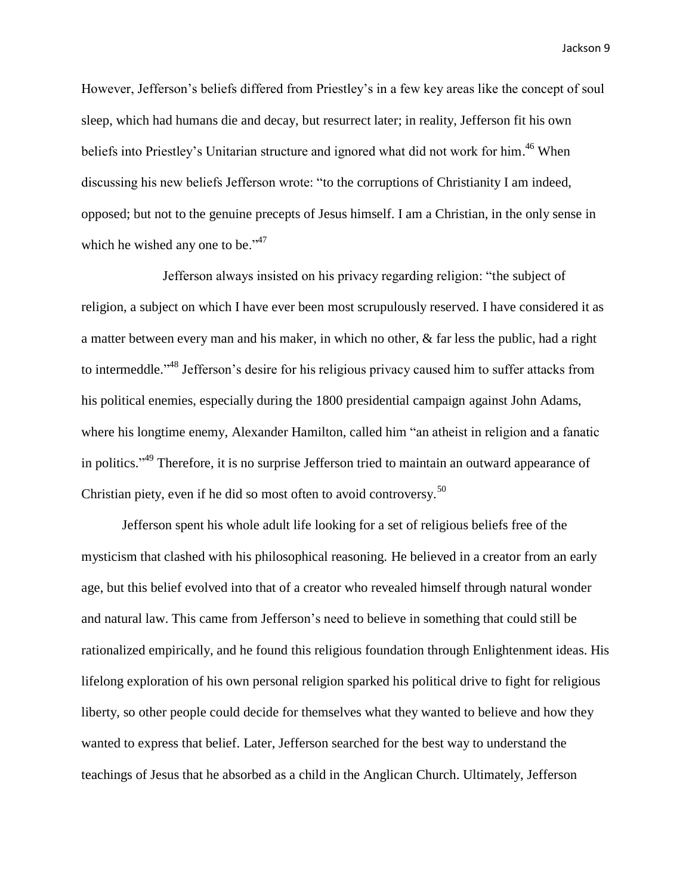However, Jefferson's beliefs differed from Priestley's in a few key areas like the concept of soul sleep, which had humans die and decay, but resurrect later; in reality, Jefferson fit his own beliefs into Priestley's Unitarian structure and ignored what did not work for him.<sup>46</sup> When discussing his new beliefs Jefferson wrote: "to the corruptions of Christianity I am indeed, opposed; but not to the genuine precepts of Jesus himself. I am a Christian, in the only sense in which he wished any one to be."<sup>47</sup>

Jefferson always insisted on his privacy regarding religion: "the subject of religion, a subject on which I have ever been most scrupulously reserved. I have considered it as a matter between every man and his maker, in which no other, & far less the public, had a right to intermeddle."<sup>48</sup> Jefferson's desire for his religious privacy caused him to suffer attacks from his political enemies, especially during the 1800 presidential campaign against John Adams, where his longtime enemy, Alexander Hamilton, called him "an atheist in religion and a fanatic in politics."<sup>49</sup> Therefore, it is no surprise Jefferson tried to maintain an outward appearance of Christian piety, even if he did so most often to avoid controversy.<sup>50</sup>

Jefferson spent his whole adult life looking for a set of religious beliefs free of the mysticism that clashed with his philosophical reasoning. He believed in a creator from an early age, but this belief evolved into that of a creator who revealed himself through natural wonder and natural law. This came from Jefferson's need to believe in something that could still be rationalized empirically, and he found this religious foundation through Enlightenment ideas. His lifelong exploration of his own personal religion sparked his political drive to fight for religious liberty, so other people could decide for themselves what they wanted to believe and how they wanted to express that belief. Later, Jefferson searched for the best way to understand the teachings of Jesus that he absorbed as a child in the Anglican Church. Ultimately, Jefferson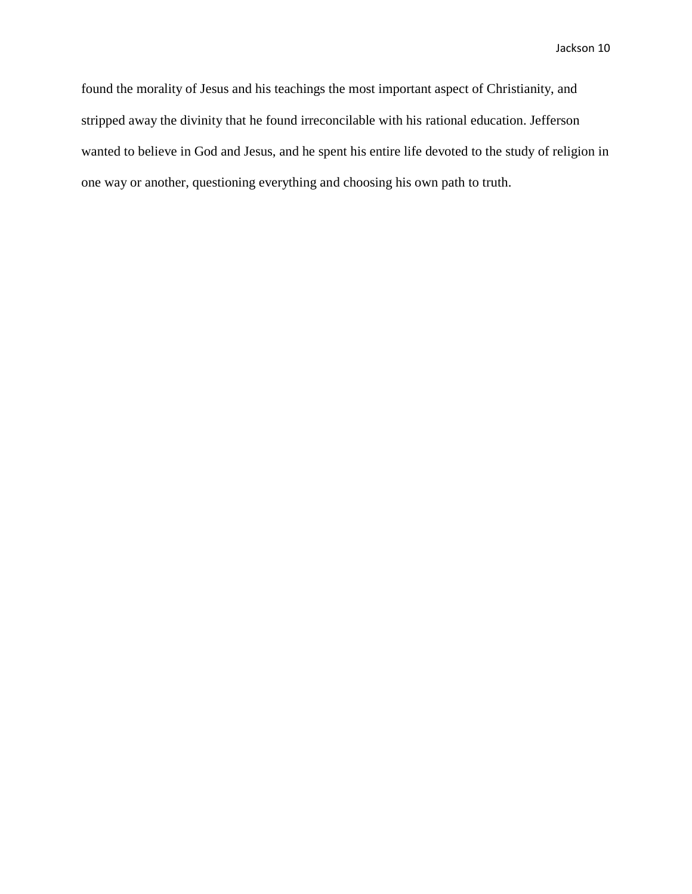found the morality of Jesus and his teachings the most important aspect of Christianity, and stripped away the divinity that he found irreconcilable with his rational education. Jefferson wanted to believe in God and Jesus, and he spent his entire life devoted to the study of religion in one way or another, questioning everything and choosing his own path to truth.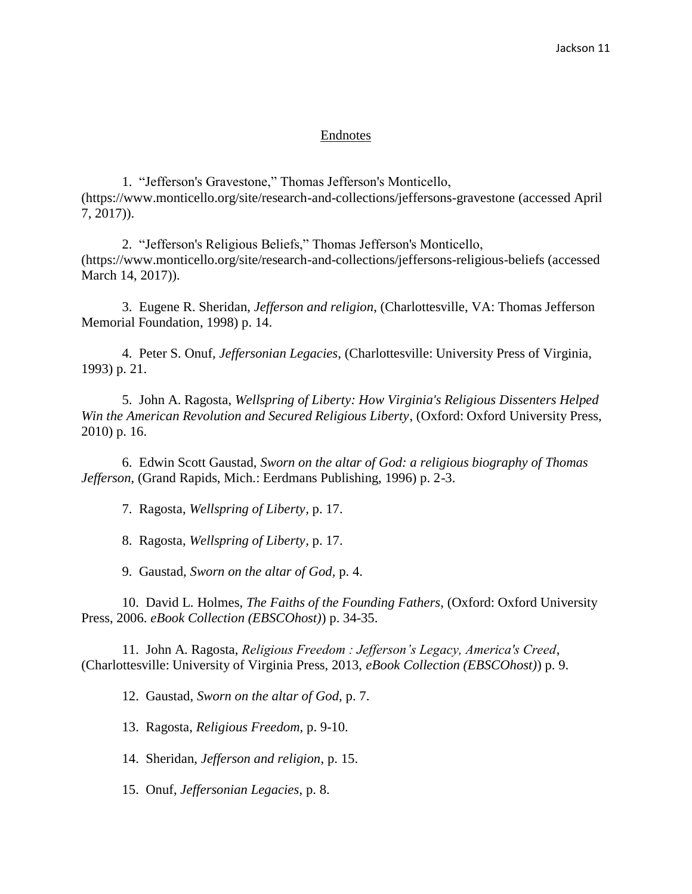## Endnotes

1. "Jefferson's Gravestone," Thomas Jefferson's Monticello, (https://www.monticello.org/site/research-and-collections/jeffersons-gravestone (accessed April 7, 2017)).

2. "Jefferson's Religious Beliefs," Thomas Jefferson's Monticello, (https://www.monticello.org/site/research-and-collections/jeffersons-religious-beliefs (accessed March 14, 2017)).

3. Eugene R. Sheridan, *Jefferson and religion*, (Charlottesville, VA: Thomas Jefferson Memorial Foundation, 1998) p. 14.

4. Peter S. Onuf, *Jeffersonian Legacies*, (Charlottesville: University Press of Virginia, 1993) p. 21.

5. John A. Ragosta, *Wellspring of Liberty: How Virginia's Religious Dissenters Helped Win the American Revolution and Secured Religious Liberty*, (Oxford: Oxford University Press, 2010) p. 16.

6. Edwin Scott Gaustad, *Sworn on the altar of God: a religious biography of Thomas Jefferson*, (Grand Rapids, Mich.: Eerdmans Publishing, 1996) p. 2-3.

7. Ragosta, *Wellspring of Liberty,* p. 17.

8. Ragosta, *Wellspring of Liberty,* p. 17.

9. Gaustad, *Sworn on the altar of God,* p. 4.

10. David L. Holmes, *The Faiths of the Founding Fathers*, (Oxford: Oxford University Press, 2006. *eBook Collection (EBSCOhost)*) p. 34-35.

11. John A. Ragosta, *Religious Freedom : Jefferson's Legacy, America's Creed*, (Charlottesville: University of Virginia Press, 2013, *eBook Collection (EBSCOhost)*) p. 9.

12. Gaustad, *Sworn on the altar of God,* p. 7.

13. Ragosta, *Religious Freedom,* p. 9-10.

14. Sheridan, *Jefferson and religion*, p. 15.

15. Onuf, *Jeffersonian Legacies*, p. 8.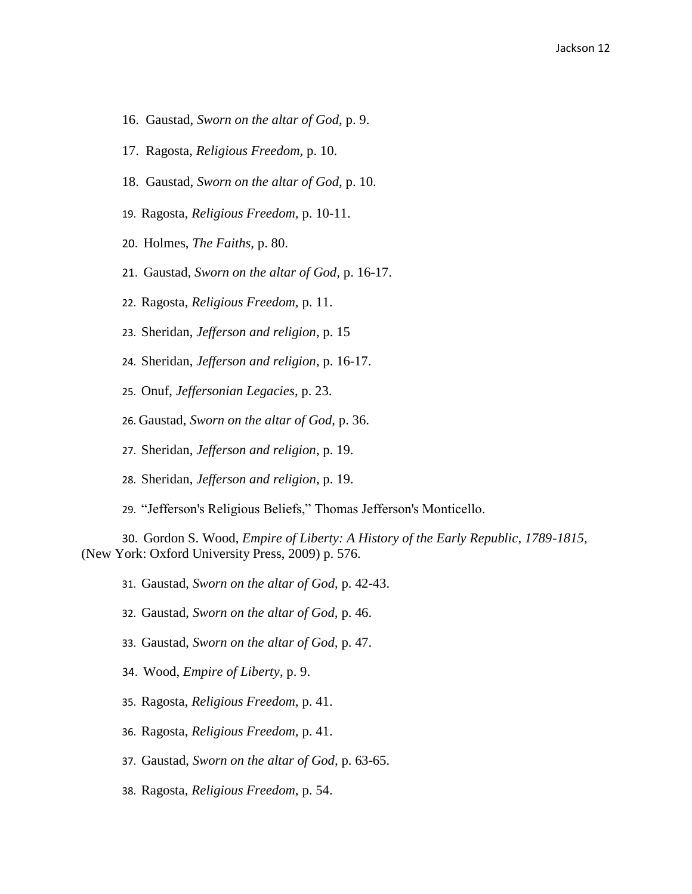- 16. Gaustad, *Sworn on the altar of God,* p. 9.
- 17. Ragosta, *Religious Freedom,* p. 10.
- 18. Gaustad, *Sworn on the altar of God,* p. 10.
- 19. Ragosta, *Religious Freedom,* p. 10-11.
- 20. Holmes, *The Faiths,* p. 80.
- 21. Gaustad, *Sworn on the altar of God,* p. 16-17.
- 22. Ragosta, *Religious Freedom,* p. 11.
- 23. Sheridan, *Jefferson and religion*, p. 15
- 24. Sheridan, *Jefferson and religion*, p. 16-17.
- 25. Onuf, *Jeffersonian Legacies*, p. 23.
- 26. Gaustad, *Sworn on the altar of God,* p. 36.
- 27. Sheridan, *Jefferson and religion*, p. 19.
- 28. Sheridan, *Jefferson and religion*, p. 19.
- 29. "Jefferson's Religious Beliefs," Thomas Jefferson's Monticello.

30. Gordon S. Wood, *Empire of Liberty: A History of the Early Republic, 1789-1815*, (New York: Oxford University Press, 2009) p. 576.

31. Gaustad, *Sworn on the altar of God,* p. 42-43.

- 32. Gaustad, *Sworn on the altar of God,* p. 46.
- 33. Gaustad, *Sworn on the altar of God,* p. 47.
- 34. Wood, *Empire of Liberty*, p. 9.
- 35. Ragosta, *Religious Freedom,* p. 41.
- 36. Ragosta, *Religious Freedom,* p. 41.
- 37. Gaustad, *Sworn on the altar of God,* p. 63-65.
- 38. Ragosta, *Religious Freedom,* p. 54.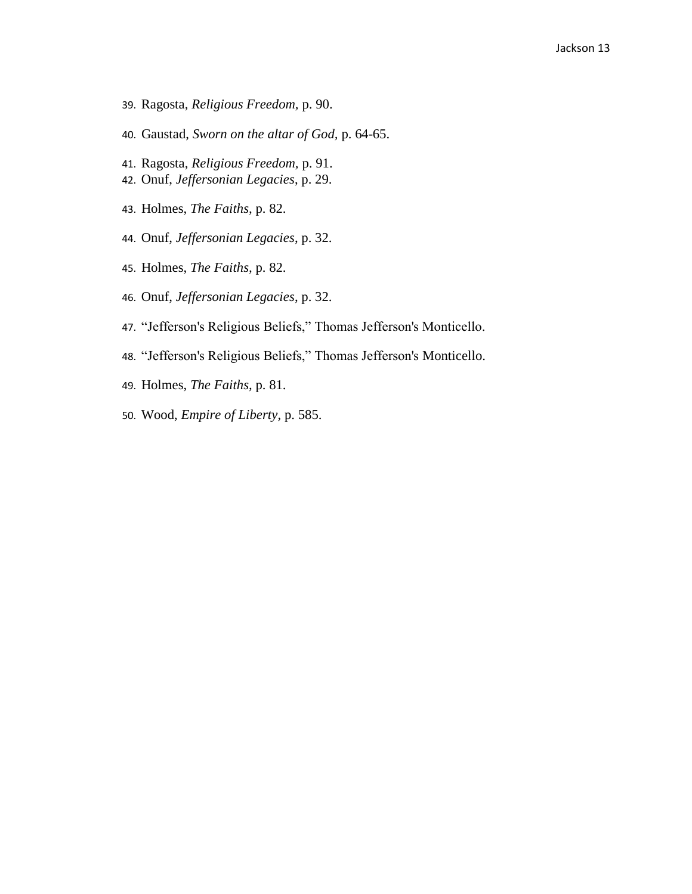- 39. Ragosta, *Religious Freedom,* p. 90.
- 40. Gaustad, *Sworn on the altar of God,* p. 64-65.
- 41. Ragosta, *Religious Freedom,* p. 91.
- 42. Onuf, *Jeffersonian Legacies*, p. 29.
- 43. Holmes, *The Faiths,* p. 82.
- 44. Onuf, *Jeffersonian Legacies*, p. 32.
- 45. Holmes, *The Faiths,* p. 82.
- 46. Onuf, *Jeffersonian Legacies*, p. 32.
- 47. "Jefferson's Religious Beliefs," Thomas Jefferson's Monticello.
- 48. "Jefferson's Religious Beliefs," Thomas Jefferson's Monticello.
- 49. Holmes, *The Faiths,* p. 81.
- 50. Wood, *Empire of Liberty*, p. 585.